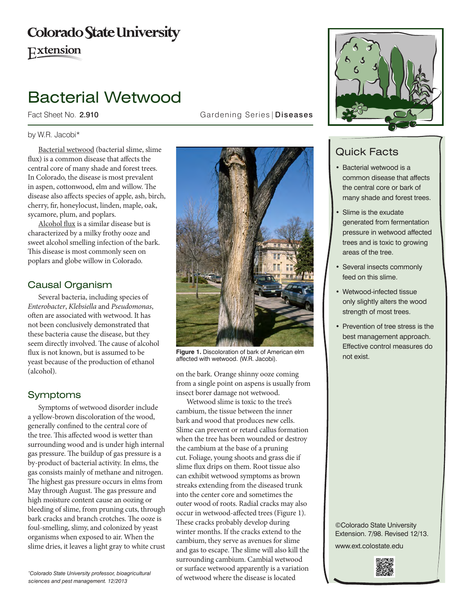# **Colorado State University**

Extension

# Bacterial Wetwood

#### by W.R. Jacobi\*

Bacterial wetwood (bacterial slime, slime flux) is a common disease that affects the central core of many shade and forest trees. In Colorado, the disease is most prevalent in aspen, cottonwood, elm and willow. The disease also affects species of apple, ash, birch, cherry, fir, honeylocust, linden, maple, oak, sycamore, plum, and poplars.

Alcohol flux is a similar disease but is characterized by a milky frothy ooze and sweet alcohol smelling infection of the bark. This disease is most commonly seen on poplars and globe willow in Colorado.

### Causal Organism

Several bacteria, including species of *Enterobacter*, *Klebsiella* and *Pseudomonas*, often are associated with wetwood. It has not been conclusively demonstrated that these bacteria cause the disease, but they seem directly involved. The cause of alcohol flux is not known, but is assumed to be yeast because of the production of ethanol (alcohol).

## Symptoms

Symptoms of wetwood disorder include a yellow-brown discoloration of the wood, generally confined to the central core of the tree. This affected wood is wetter than surrounding wood and is under high internal gas pressure. The buildup of gas pressure is a by-product of bacterial activity. In elms, the gas consists mainly of methane and nitrogen. The highest gas pressure occurs in elms from May through August. The gas pressure and high moisture content cause an oozing or bleeding of slime, from pruning cuts, through bark cracks and branch crotches. The ooze is foul-smelling, slimy, and colonized by yeast organisms when exposed to air. When the slime dries, it leaves a light gray to white crust

*\* Colorado State University professor, bioagricultural sciences and pest management. 12/2013*

Fact Sheet No. 2.910 **Gardening Series | Diseases** 



**Figure 1.** Discoloration of bark of American elm affected with wetwood. (W.R. Jacobi).

on the bark. Orange shinny ooze coming from a single point on aspens is usually from insect borer damage not wetwood.

Wetwood slime is toxic to the tree's cambium, the tissue between the inner bark and wood that produces new cells. Slime can prevent or retard callus formation when the tree has been wounded or destroy the cambium at the base of a pruning cut. Foliage, young shoots and grass die if slime flux drips on them. Root tissue also can exhibit wetwood symptoms as brown streaks extending from the diseased trunk into the center core and sometimes the outer wood of roots. Radial cracks may also occur in wetwood-affected trees (Figure 1). These cracks probably develop during winter months. If the cracks extend to the cambium, they serve as avenues for slime and gas to escape. The slime will also kill the surrounding cambium. Cambial wetwood or surface wetwood apparently is a variation of wetwood where the disease is located



# Quick Facts

- • Bacterial wetwood is a common disease that affects the central core or bark of many shade and forest trees.
- Slime is the exudate generated from fermentation pressure in wetwood affected trees and is toxic to growing areas of the tree.
- Several insects commonly feed on this slime.
- • Wetwood-infected tissue only slightly alters the wood strength of most trees.
- Prevention of tree stress is the best management approach. Effective control measures do not exist.

©Colorado State University Extension. 7/98. Revised 12/13.

www.ext.colostate.edu

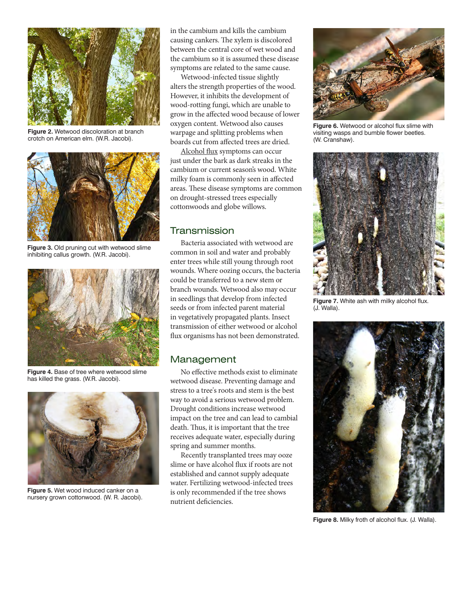

**Figure 2.** Wetwood discoloration at branch crotch on American elm. (W.R. Jacobi).



**Figure 3.** Old pruning cut with wetwood slime inhibiting callus growth. (W.R. Jacobi).



**Figure 4.** Base of tree where wetwood slime has killed the grass. (W.R. Jacobi).



**Figure 5.** Wet wood induced canker on a nursery grown cottonwood. (W. R. Jacobi).

in the cambium and kills the cambium causing cankers. The xylem is discolored between the central core of wet wood and the cambium so it is assumed these disease symptoms are related to the same cause.

Wetwood-infected tissue slightly alters the strength properties of the wood. However, it inhibits the development of wood-rotting fungi, which are unable to grow in the affected wood because of lower oxygen content. Wetwood also causes warpage and splitting problems when boards cut from affected trees are dried.

Alcohol flux symptoms can occur just under the bark as dark streaks in the cambium or current season's wood. White milky foam is commonly seen in affected areas. These disease symptoms are common on drought-stressed trees especially cottonwoods and globe willows.

#### Transmission

Bacteria associated with wetwood are common in soil and water and probably enter trees while still young through root wounds. Where oozing occurs, the bacteria could be transferred to a new stem or branch wounds. Wetwood also may occur in seedlings that develop from infected seeds or from infected parent material in vegetatively propagated plants. Insect transmission of either wetwood or alcohol flux organisms has not been demonstrated.

### Management

No effective methods exist to eliminate wetwood disease. Preventing damage and stress to a tree's roots and stem is the best way to avoid a serious wetwood problem. Drought conditions increase wetwood impact on the tree and can lead to cambial death. Thus, it is important that the tree receives adequate water, especially during spring and summer months.

Recently transplanted trees may ooze slime or have alcohol flux if roots are not established and cannot supply adequate water. Fertilizing wetwood-infected trees is only recommended if the tree shows nutrient deficiencies.



**Figure 6.** Wetwood or alcohol flux slime with visiting wasps and bumble flower beetles. (W. Cranshaw).



**Figure 7.** White ash with milky alcohol flux. (J. Walla).



**Figure 8.** Milky froth of alcohol flux. (J. Walla).